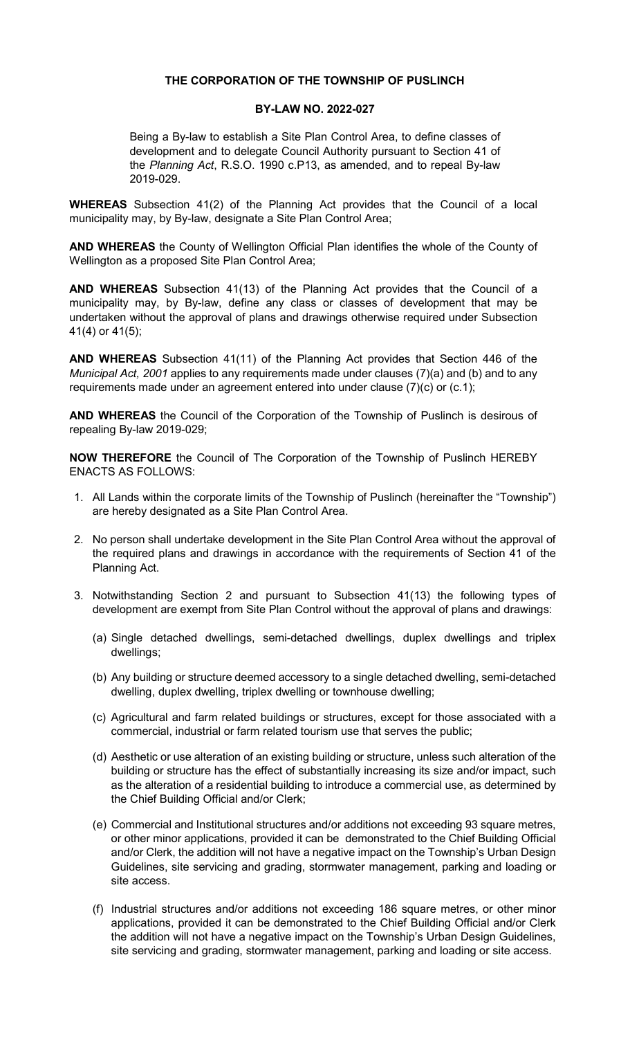## THE CORPORATION OF THE TOWNSHIP OF PUSLINCH

## BY-LAW NO. 2022-027

Being a By-law to establish a Site Plan Control Area, to define classes of development and to delegate Council Authority pursuant to Section 41 of the Planning Act, R.S.O. 1990 c.P13, as amended, and to repeal By-law 2019-029.

WHEREAS Subsection 41(2) of the Planning Act provides that the Council of a local municipality may, by By-law, designate a Site Plan Control Area;

AND WHEREAS the County of Wellington Official Plan identifies the whole of the County of Wellington as a proposed Site Plan Control Area;

AND WHEREAS Subsection 41(13) of the Planning Act provides that the Council of a municipality may, by By-law, define any class or classes of development that may be undertaken without the approval of plans and drawings otherwise required under Subsection 41(4) or 41(5);

AND WHEREAS Subsection 41(11) of the Planning Act provides that Section 446 of the *Municipal Act, 2001* applies to any requirements made under clauses  $(7)(a)$  and (b) and to any requirements made under an agreement entered into under clause (7)(c) or (c.1);

AND WHEREAS the Council of the Corporation of the Township of Puslinch is desirous of repealing By-law 2019-029;

NOW THEREFORE the Council of The Corporation of the Township of Puslinch HEREBY ENACTS AS FOLLOWS:

- 1. All Lands within the corporate limits of the Township of Puslinch (hereinafter the "Township") are hereby designated as a Site Plan Control Area.
- 2. No person shall undertake development in the Site Plan Control Area without the approval of the required plans and drawings in accordance with the requirements of Section 41 of the Planning Act.
- 3. Notwithstanding Section 2 and pursuant to Subsection 41(13) the following types of development are exempt from Site Plan Control without the approval of plans and drawings:
	- (a) Single detached dwellings, semi-detached dwellings, duplex dwellings and triplex dwellings;
	- (b) Any building or structure deemed accessory to a single detached dwelling, semi-detached dwelling, duplex dwelling, triplex dwelling or townhouse dwelling;
	- (c) Agricultural and farm related buildings or structures, except for those associated with a commercial, industrial or farm related tourism use that serves the public;
	- (d) Aesthetic or use alteration of an existing building or structure, unless such alteration of the building or structure has the effect of substantially increasing its size and/or impact, such as the alteration of a residential building to introduce a commercial use, as determined by the Chief Building Official and/or Clerk;
	- (e) Commercial and Institutional structures and/or additions not exceeding 93 square metres, or other minor applications, provided it can be demonstrated to the Chief Building Official and/or Clerk, the addition will not have a negative impact on the Township's Urban Design Guidelines, site servicing and grading, stormwater management, parking and loading or site access.
	- (f) Industrial structures and/or additions not exceeding 186 square metres, or other minor applications, provided it can be demonstrated to the Chief Building Official and/or Clerk the addition will not have a negative impact on the Township's Urban Design Guidelines, site servicing and grading, stormwater management, parking and loading or site access.